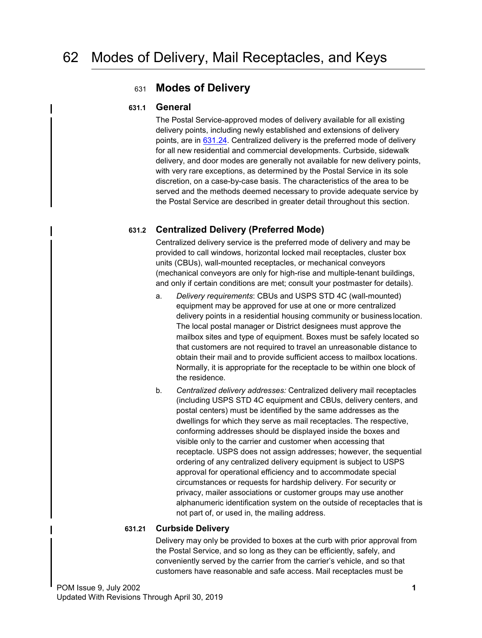# <span id="page-0-2"></span><sup>631</sup> **Modes of Delivery**

#### **631.1 General**

<span id="page-0-0"></span>The Postal Service-approved modes of delivery available for all existing delivery points, including newly established and extensions of delivery points, are in [631.24.](#page-1-0) Centralized delivery is the preferred mode of delivery for all new residential and commercial developments. Curbside, sidewalk delivery, and door modes are generally not available for new delivery points, with very rare exceptions, as determined by the Postal Service in its sole discretion, on a case-by-case basis. The characteristics of the area to be served and the methods deemed necessary to provide adequate service by the Postal Service are described in greater detail throughout this section.

## **631.2 Centralized Delivery (Preferred Mode)**

<span id="page-0-1"></span>Centralized delivery service is the preferred mode of delivery and may be provided to call windows, horizontal locked mail receptacles, cluster box units (CBUs), wall-mounted receptacles, or mechanical conveyors (mechanical conveyors are only for high-rise and multiple-tenant buildings, and only if certain conditions are met; consult your postmaster for details).

- a. *Delivery requirements*: CBUs and USPS STD 4C (wall-mounted) equipment may be approved for use at one or more centralized delivery points in a residential housing community or business location. The local postal manager or District designees must approve the mailbox sites and type of equipment. Boxes must be safely located so that customers are not required to travel an unreasonable distance to obtain their mail and to provide sufficient access to mailbox locations. Normally, it is appropriate for the receptacle to be within one block of the residence.
- b. *Centralized delivery addresses:* Centralized delivery mail receptacles (including USPS STD 4C equipment and CBUs, delivery centers, and postal centers) must be identified by the same addresses as the dwellings for which they serve as mail receptacles. The respective, conforming addresses should be displayed inside the boxes and visible only to the carrier and customer when accessing that receptacle. USPS does not assign addresses; however, the sequential ordering of any centralized delivery equipment is subject to USPS approval for operational efficiency and to accommodate special circumstances or requests for hardship delivery. For security or privacy, mailer associations or customer groups may use another alphanumeric identification system on the outside of receptacles that is not part of, or used in, the mailing address.

## **631.21 Curbside Delivery**

Delivery may only be provided to boxes at the curb with prior approval from the Postal Service, and so long as they can be efficiently, safely, and conveniently served by the carrier from the carrier's vehicle, and so that customers have reasonable and safe access. Mail receptacles must be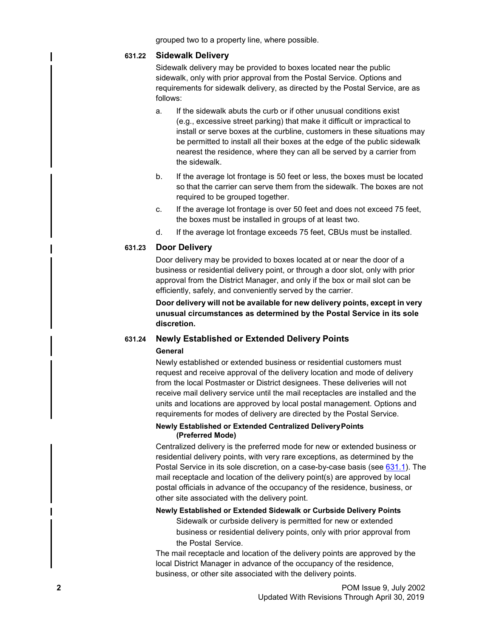grouped two to a property line, where possible.

#### **631.22 Sidewalk Delivery**

Sidewalk delivery may be provided to boxes located near the public sidewalk, only with prior approval from the Postal Service. Options and requirements for sidewalk delivery, as directed by the Postal Service, are as follows:

- a. If the sidewalk abuts the curb or if other unusual conditions exist (e.g., excessive street parking) that make it difficult or impractical to install or serve boxes at the curbline, customers in these situations may be permitted to install all their boxes at the edge of the public sidewalk nearest the residence, where they can all be served by a carrier from the sidewalk.
- b. If the average lot frontage is 50 feet or less, the boxes must be located so that the carrier can serve them from the sidewalk. The boxes are not required to be grouped together.
- c. If the average lot frontage is over 50 feet and does not exceed 75 feet, the boxes must be installed in groups of at least two.
- d. If the average lot frontage exceeds 75 feet, CBUs must be installed.

#### **631.23 Door Delivery**

Door delivery may be provided to boxes located at or near the door of a business or residential delivery point, or through a door slot, only with prior approval from the District Manager, and only if the box or mail slot can be efficiently, safely, and conveniently served by the carrier.

**Door delivery will not be available for new delivery points, except in very unusual circumstances as determined by the Postal Service in its sole discretion.**

## **631.24 Newly Established or Extended Delivery Points General**

<span id="page-1-0"></span>Newly established or extended business or residential customers must request and receive approval of the delivery location and mode of delivery from the local Postmaster or District designees. These deliveries will not receive mail delivery service until the mail receptacles are installed and the units and locations are approved by local postal management. Options and requirements for modes of delivery are directed by the Postal Service.

#### **Newly Established or Extended Centralized DeliveryPoints (Preferred Mode)**

Centralized delivery is the preferred mode for new or extended business or residential delivery points, with very rare exceptions, as determined by the Postal Service in its sole discretion, on a case-by-case basis (see [631.1\)](#page-0-0). The mail receptacle and location of the delivery point(s) are approved by local postal officials in advance of the occupancy of the residence, business, or other site associated with the delivery point.

#### **Newly Established or Extended Sidewalk or Curbside Delivery Points**

Sidewalk or curbside delivery is permitted for new or extended business or residential delivery points, only with prior approval from the Postal Service.

The mail receptacle and location of the delivery points are approved by the local District Manager in advance of the occupancy of the residence, business, or other site associated with the delivery points.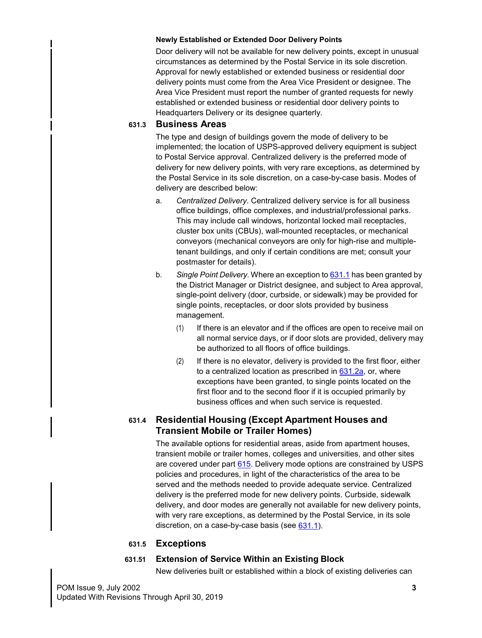#### **Newly Established or Extended Door Delivery Points**

Door delivery will not be available for new delivery points, except in unusual circumstances as determined by the Postal Service in its sole discretion. Approval for newly established or extended business or residential door delivery points must come from the Area Vice President or designee. The Area Vice President must report the number of granted requests for newly established or extended business or residential door delivery points to Headquarters Delivery or its designee quarterly.

## **631.3 Business Areas**

The type and design of buildings govern the mode of delivery to be implemented; the location of USPS-approved delivery equipment is subject to Postal Service approval. Centralized delivery is the preferred mode of delivery for new delivery points, with very rare exceptions, as determined by the Postal Service in its sole discretion, on a case-by-case basis. Modes of delivery are described below:

- a. *Centralized Delivery.* Centralized delivery service is for all business office buildings, office complexes, and industrial/professional parks. This may include call windows, horizontal locked mail receptacles, cluster box units (CBUs), wall-mounted receptacles, or mechanical conveyors (mechanical conveyors are only for high-rise and multipletenant buildings, and only if certain conditions are met; consult your postmaster for details).
- b. *Single Point Delivery.* Where an exception to [631.1](#page-0-0) has been granted by the District Manager or District designee, and subject to Area approval, single-point delivery (door, curbside, or sidewalk) may be provided for single points, receptacles, or door slots provided by business management.
	- (1) If there is an elevator and if the offices are open to receive mail on all normal service days, or if door slots are provided, delivery may be authorized to all floors of office buildings.
	- (2) If there is no elevator, delivery is provided to the first floor, either to a centralized location as prescribed in [631.2a](#page-0-1), or, where exceptions have been granted, to single points located on the first floor and to the second floor if it is occupied primarily by business offices and when such service is requested.

## **631.4 Residential Housing (Except Apartment Houses and Transient Mobile or Trailer Homes)**

The available options for residential areas, aside from apartment houses, transient mobile or trailer homes, colleges and universities, and other sites are covered under part 615. Delivery mode options are constrained by USPS policies and procedures, in light of the characteristics of the area to be served and the methods needed to provide adequate service. Centralized delivery is the preferred mode for new delivery points. Curbside, sidewalk delivery, and door modes are generally not available for new delivery points, with very rare exceptions, as determined by the Postal Service, in its sole discretion, on a case-by-case basis (see  $631.1$ ).

## **631.5 Exceptions**

## **631.51 Extension of Service Within an Existing Block**

New deliveries built or established within a block of existing deliveries can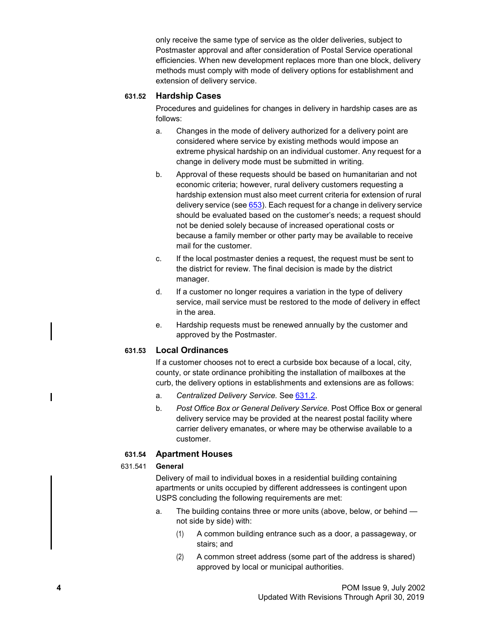only receive the same type of service as the older deliveries, subject to Postmaster approval and after consideration of Postal Service operational efficiencies. When new development replaces more than one block, delivery methods must comply with mode of delivery options for establishment and extension of delivery service.

#### **631.52 Hardship Cases**

Procedures and guidelines for changes in delivery in hardship cases are as follows:

- a. Changes in the mode of delivery authorized for a delivery point are considered where service by existing methods would impose an extreme physical hardship on an individual customer. Any request for a change in delivery mode must be submitted in writing.
- b. Approval of these requests should be based on humanitarian and not economic criteria; however, rural delivery customers requesting a hardship extension must also meet current criteria for extension of rural delivery service (see  $653$ ). Each request for a change in delivery service should be evaluated based on the customer's needs; a request should not be denied solely because of increased operational costs or because a family member or other party may be available to receive mail for the customer.
- c. If the local postmaster denies a request, the request must be sent to the district for review. The final decision is made by the district manager.
- d. If a customer no longer requires a variation in the type of delivery service, mail service must be restored to the mode of delivery in effect in the area.
- e. Hardship requests must be renewed annually by the customer and approved by the Postmaster.

## **631.53 Local Ordinances**

If a customer chooses not to erect a curbside box because of a local, city, county, or state ordinance prohibiting the installation of mailboxes at the curb, the delivery options in establishments and extensions are as follows:

- a. *Centralized Delivery Service.* See [631.2.](#page-0-1)
- b. *Post Office Box or General Delivery Service.* Post Office Box or general delivery service may be provided at the nearest postal facility where carrier delivery emanates, or where may be otherwise available to a customer.

#### **631.54 Apartment Houses**

#### 631.541 **General**

Delivery of mail to individual boxes in a residential building containing apartments or units occupied by different addressees is contingent upon USPS concluding the following requirements are met:

- a. The building contains three or more units (above, below, or behind not side by side) with:
	- (1) A common building entrance such as a door, a passageway, or stairs; and
	- (2) A common street address (some part of the address is shared) approved by local or municipal authorities.

<span id="page-3-0"></span>ı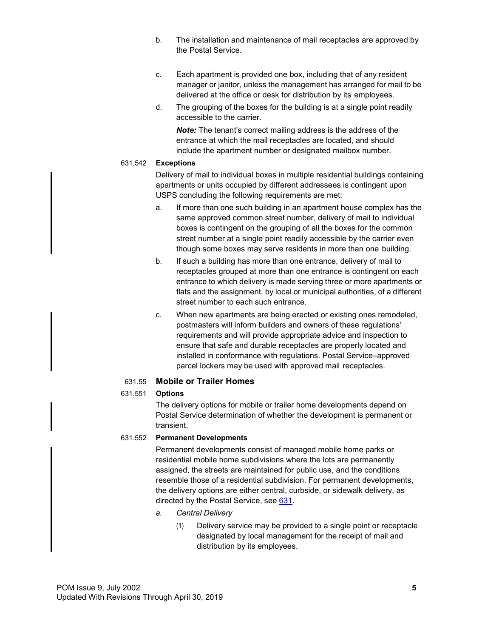- b. The installation and maintenance of mail receptacles are approved by the Postal Service.
- c. Each apartment is provided one box, including that of any resident manager or janitor, unless the management has arranged for mail to be delivered at the office or desk for distribution by its employees.
- d. The grouping of the boxes for the building is at a single point readily accessible to the carrier.

*Note:* The tenant's correct mailing address is the address of the entrance at which the mail receptacles are located, and should include the apartment number or designated mailbox number.

#### 631.542 **Exceptions**

Delivery of mail to individual boxes in multiple residential buildings containing apartments or units occupied by different addressees is contingent upon USPS concluding the following requirements are met:

- a. If more than one such building in an apartment house complex has the same approved common street number, delivery of mail to individual boxes is contingent on the grouping of all the boxes for the common street number at a single point readily accessible by the carrier even though some boxes may serve residents in more than one building.
- b. If such a building has more than one entrance, delivery of mail to receptacles grouped at more than one entrance is contingent on each entrance to which delivery is made serving three or more apartments or flats and the assignment, by local or municipal authorities, of a different street number to each such entrance.
- c. When new apartments are being erected or existing ones remodeled, postmasters will inform builders and owners of these regulations' requirements and will provide appropriate advice and inspection to ensure that safe and durable receptacles are properly located and installed in conformance with regulations. Postal Service–approved parcel lockers may be used with approved mail receptacles.

## 631.55 **Mobile or Trailer Homes**

## 631.551 **Options**

The delivery options for mobile or trailer home developments depend on Postal Service determination of whether the development is permanent or transient.

## 631.552 **Permanent Developments**

Permanent developments consist of managed mobile home parks or residential mobile home subdivisions where the lots are permanently assigned, the streets are maintained for public use, and the conditions resemble those of a residential subdivision. For permanent developments, the delivery options are either central, curbside, or sidewalk delivery, as directed by the Postal Service, see [631.](#page-0-2)

- *a. Central Delivery*
	- (1) Delivery service may be provided to a single point or receptacle designated by local management for the receipt of mail and distribution by its employees.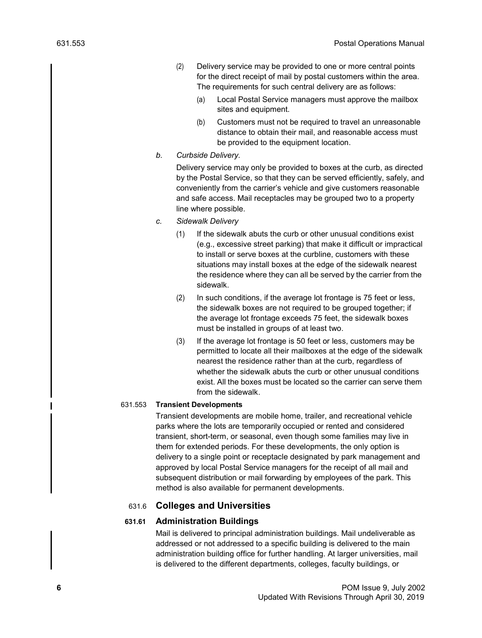- (2) Delivery service may be provided to one or more central points for the direct receipt of mail by postal customers within the area. The requirements for such central delivery are as follows:
	- (a) Local Postal Service managers must approve the mailbox sites and equipment.
	- (b) Customers must not be required to travel an unreasonable distance to obtain their mail, and reasonable access must be provided to the equipment location.
- *b. Curbside Delivery.*

Delivery service may only be provided to boxes at the curb, as directed by the Postal Service, so that they can be served efficiently, safely, and conveniently from the carrier's vehicle and give customers reasonable and safe access. Mail receptacles may be grouped two to a property line where possible.

- *c. Sidewalk Delivery*
	- (1) If the sidewalk abuts the curb or other unusual conditions exist (e.g., excessive street parking) that make it difficult or impractical to install or serve boxes at the curbline, customers with these situations may install boxes at the edge of the sidewalk nearest the residence where they can all be served by the carrier from the sidewalk.
	- (2) In such conditions, if the average lot frontage is 75 feet or less, the sidewalk boxes are not required to be grouped together; if the average lot frontage exceeds 75 feet, the sidewalk boxes must be installed in groups of at least two.
	- (3) If the average lot frontage is 50 feet or less, customers may be permitted to locate all their mailboxes at the edge of the sidewalk nearest the residence rather than at the curb, regardless of whether the sidewalk abuts the curb or other unusual conditions exist. All the boxes must be located so the carrier can serve them from the sidewalk.

#### 631.553 **Transient Developments**

Transient developments are mobile home, trailer, and recreational vehicle parks where the lots are temporarily occupied or rented and considered transient, short-term, or seasonal, even though some families may live in them for extended periods. For these developments, the only option is delivery to a single point or receptacle designated by park management and approved by local Postal Service managers for the receipt of all mail and subsequent distribution or mail forwarding by employees of the park. This method is also available for permanent developments.

## 631.6 **Colleges and Universities**

## **631.61 Administration Buildings**

Mail is delivered to principal administration buildings. Mail undeliverable as addressed or not addressed to a specific building is delivered to the main administration building office for further handling. At larger universities, mail is delivered to the different departments, colleges, faculty buildings, or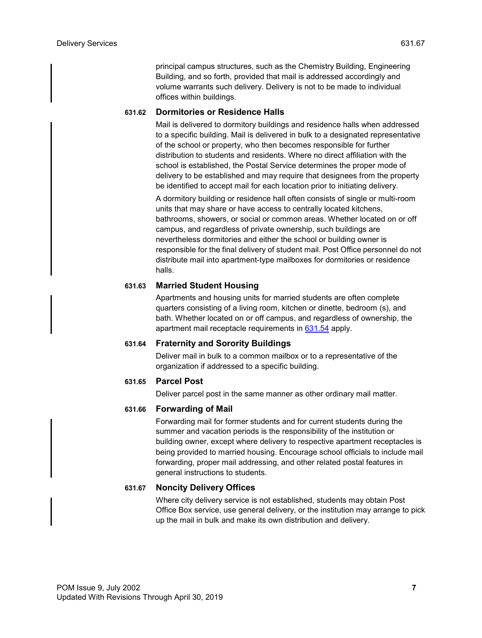principal campus structures, such as the Chemistry Building, Engineering Building, and so forth, provided that mail is addressed accordingly and volume warrants such delivery. Delivery is not to be made to individual offices within buildings.

## **631.62 Dormitories or Residence Halls**

Mail is delivered to dormitory buildings and residence halls when addressed to a specific building. Mail is delivered in bulk to a designated representative of the school or property, who then becomes responsible for further distribution to students and residents. Where no direct affiliation with the school is established, the Postal Service determines the proper mode of delivery to be established and may require that designees from the property be identified to accept mail for each location prior to initiating delivery.

A dormitory building or residence hall often consists of single or multi-room units that may share or have access to centrally located kitchens, bathrooms, showers, or social or common areas. Whether located on or off campus, and regardless of private ownership, such buildings are nevertheless dormitories and either the school or building owner is responsible for the final delivery of student mail. Post Office personnel do not distribute mail into apartment-type mailboxes for dormitories or residence halls.

## **631.63 Married Student Housing**

Apartments and housing units for married students are often complete quarters consisting of a living room, kitchen or dinette, bedroom (s), and bath. Whether located on or off campus, and regardless of ownership, the apartment mail receptacle requirements in [631.54](#page-3-0) apply.

## **631.64 Fraternity and Sorority Buildings**

Deliver mail in bulk to a common mailbox or to a representative of the organization if addressed to a specific building.

## **631.65 Parcel Post**

Deliver parcel post in the same manner as other ordinary mail matter.

## **631.66 Forwarding of Mail**

Forwarding mail for former students and for current students during the summer and vacation periods is the responsibility of the institution or building owner, except where delivery to respective apartment receptacles is being provided to married housing. Encourage school officials to include mail forwarding, proper mail addressing, and other related postal features in general instructions to students.

## **631.67 Noncity Delivery Offices**

Where city delivery service is not established, students may obtain Post Office Box service, use general delivery, or the institution may arrange to pick up the mail in bulk and make its own distribution and delivery.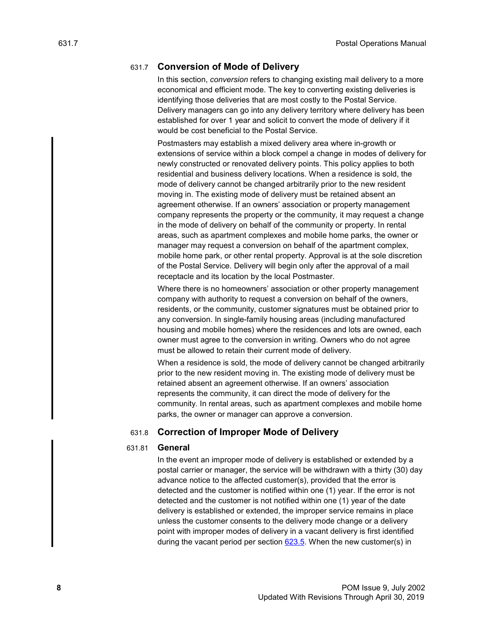## 631.7 **Conversion of Mode of Delivery**

In this section, *conversion* refers to changing existing mail delivery to a more economical and efficient mode. The key to converting existing deliveries is identifying those deliveries that are most costly to the Postal Service. Delivery managers can go into any delivery territory where delivery has been established for over 1 year and solicit to convert the mode of delivery if it would be cost beneficial to the Postal Service.

Postmasters may establish a mixed delivery area where in-growth or extensions of service within a block compel a change in modes of delivery for newly constructed or renovated delivery points. This policy applies to both residential and business delivery locations. When a residence is sold, the mode of delivery cannot be changed arbitrarily prior to the new resident moving in. The existing mode of delivery must be retained absent an agreement otherwise. If an owners' association or property management company represents the property or the community, it may request a change in the mode of delivery on behalf of the community or property. In rental areas, such as apartment complexes and mobile home parks, the owner or manager may request a conversion on behalf of the apartment complex, mobile home park, or other rental property. Approval is at the sole discretion of the Postal Service. Delivery will begin only after the approval of a mail receptacle and its location by the local Postmaster.

Where there is no homeowners' association or other property management company with authority to request a conversion on behalf of the owners, residents, or the community, customer signatures must be obtained prior to any conversion. In single-family housing areas (including manufactured housing and mobile homes) where the residences and lots are owned, each owner must agree to the conversion in writing. Owners who do not agree must be allowed to retain their current mode of delivery.

When a residence is sold, the mode of delivery cannot be changed arbitrarily prior to the new resident moving in. The existing mode of delivery must be retained absent an agreement otherwise. If an owners' association represents the community, it can direct the mode of delivery for the community. In rental areas, such as apartment complexes and mobile home parks, the owner or manager can approve a conversion.

#### 631.8 **Correction of Improper Mode of Delivery**

#### 631.81 **General**

In the event an improper mode of delivery is established or extended by a postal carrier or manager, the service will be withdrawn with a thirty (30) day advance notice to the affected customer(s), provided that the error is detected and the customer is notified within one (1) year. If the error is not detected and the customer is not notified within one (1) year of the date delivery is established or extended, the improper service remains in place unless the customer consents to the delivery mode change or a delivery point with improper modes of delivery in a vacant delivery is first identified during the vacant period per section 623.5. When the new customer(s) in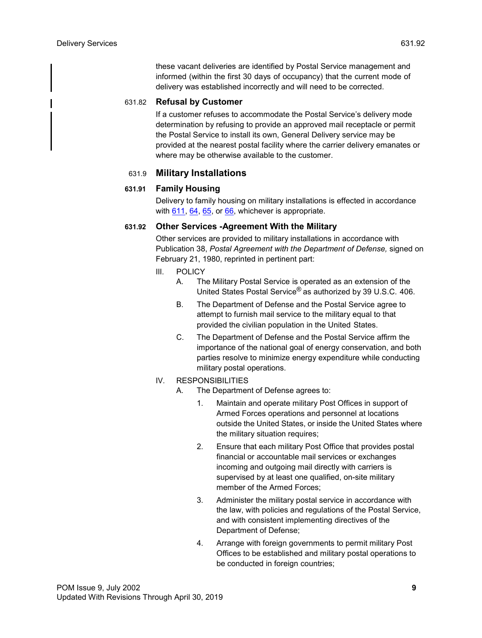these vacant deliveries are identified by Postal Service management and informed (within the first 30 days of occupancy) that the current mode of delivery was established incorrectly and will need to be corrected.

## 631.82 **Refusal by Customer**

If a customer refuses to accommodate the Postal Service's delivery mode determination by refusing to provide an approved mail receptacle or permit the Postal Service to install its own, General Delivery service may be provided at the nearest postal facility where the carrier delivery emanates or where may be otherwise available to the customer.

## 631.9 **Military Installations**

## **631.91 Family Housing**

Delivery to family housing on military installations is effected in accordance with  $611$ ,  $64$ ,  $65$ , or  $66$ , whichever is appropriate.

## **631.92 Other Services -Agreement With the Military**

Other services are provided to military installations in accordance with Publication 38, *Postal Agreement with the Department of Defense,* signed on February 21, 1980, reprinted in pertinent part:

- III. POLICY
	- A. The Military Postal Service is operated as an extension of the United States Postal Service® as authorized by 39 U.S.C. 406.
	- B. The Department of Defense and the Postal Service agree to attempt to furnish mail service to the military equal to that provided the civilian population in the United States.
	- C. The Department of Defense and the Postal Service affirm the importance of the national goal of energy conservation, and both parties resolve to minimize energy expenditure while conducting military postal operations.
- IV. RESPONSIBILITIES
	- A. The Department of Defense agrees to:
		- 1. Maintain and operate military Post Offices in support of Armed Forces operations and personnel at locations outside the United States, or inside the United States where the military situation requires;
		- 2. Ensure that each military Post Office that provides postal financial or accountable mail services or exchanges incoming and outgoing mail directly with carriers is supervised by at least one qualified, on-site military member of the Armed Forces;
		- 3. Administer the military postal service in accordance with the law, with policies and regulations of the Postal Service, and with consistent implementing directives of the Department of Defense;
		- 4. Arrange with foreign governments to permit military Post Offices to be established and military postal operations to be conducted in foreign countries;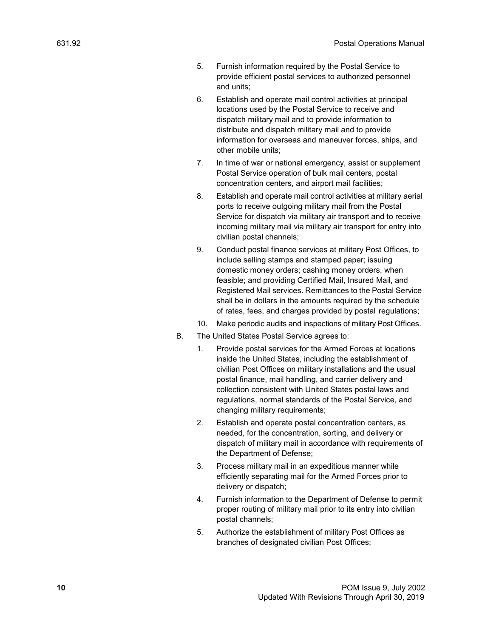- 5. Furnish information required by the Postal Service to provide efficient postal services to authorized personnel and units;
- 6. Establish and operate mail control activities at principal locations used by the Postal Service to receive and dispatch military mail and to provide information to distribute and dispatch military mail and to provide information for overseas and maneuver forces, ships, and other mobile units;
- 7. In time of war or national emergency, assist or supplement Postal Service operation of bulk mail centers, postal concentration centers, and airport mail facilities;
- 8. Establish and operate mail control activities at military aerial ports to receive outgoing military mail from the Postal Service for dispatch via military air transport and to receive incoming military mail via military air transport for entry into civilian postal channels;
- 9. Conduct postal finance services at military Post Offices, to include selling stamps and stamped paper; issuing domestic money orders; cashing money orders, when feasible; and providing Certified Mail, Insured Mail, and Registered Mail services. Remittances to the Postal Service shall be in dollars in the amounts required by the schedule of rates, fees, and charges provided by postal regulations;
- 10. Make periodic audits and inspections of military Post Offices.
- B. The United States Postal Service agrees to:
	- 1. Provide postal services for the Armed Forces at locations inside the United States, including the establishment of civilian Post Offices on military installations and the usual postal finance, mail handling, and carrier delivery and collection consistent with United States postal laws and regulations, normal standards of the Postal Service, and changing military requirements;
	- 2. Establish and operate postal concentration centers, as needed, for the concentration, sorting, and delivery or dispatch of military mail in accordance with requirements of the Department of Defense;
	- 3. Process military mail in an expeditious manner while efficiently separating mail for the Armed Forces prior to delivery or dispatch;
	- 4. Furnish information to the Department of Defense to permit proper routing of military mail prior to its entry into civilian postal channels;
	- 5. Authorize the establishment of military Post Offices as branches of designated civilian Post Offices;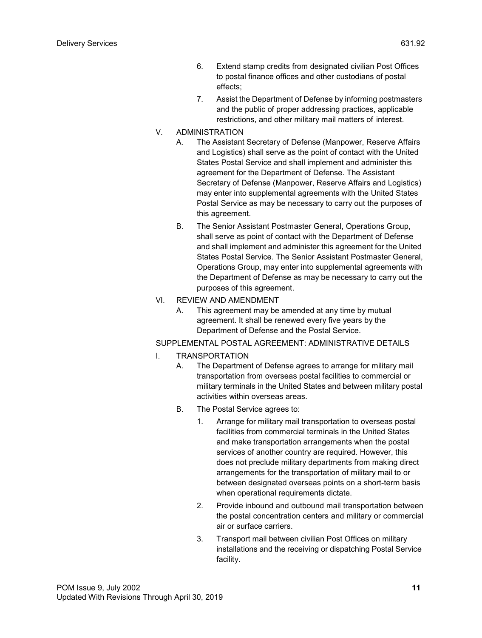- 6. Extend stamp credits from designated civilian Post Offices to postal finance offices and other custodians of postal effects;
- 7. Assist the Department of Defense by informing postmasters and the public of proper addressing practices, applicable restrictions, and other military mail matters of interest.
- V. ADMINISTRATION
	- A. The Assistant Secretary of Defense (Manpower, Reserve Affairs and Logistics) shall serve as the point of contact with the United States Postal Service and shall implement and administer this agreement for the Department of Defense. The Assistant Secretary of Defense (Manpower, Reserve Affairs and Logistics) may enter into supplemental agreements with the United States Postal Service as may be necessary to carry out the purposes of this agreement.
	- B. The Senior Assistant Postmaster General, Operations Group, shall serve as point of contact with the Department of Defense and shall implement and administer this agreement for the United States Postal Service. The Senior Assistant Postmaster General, Operations Group, may enter into supplemental agreements with the Department of Defense as may be necessary to carry out the purposes of this agreement.
- VI. REVIEW AND AMENDMENT
	- A. This agreement may be amended at any time by mutual agreement. It shall be renewed every five years by the Department of Defense and the Postal Service.

## SUPPLEMENTAL POSTAL AGREEMENT: ADMINISTRATIVE DETAILS

- I. TRANSPORTATION
	- A. The Department of Defense agrees to arrange for military mail transportation from overseas postal facilities to commercial or military terminals in the United States and between military postal activities within overseas areas.
	- B. The Postal Service agrees to:
		- 1. Arrange for military mail transportation to overseas postal facilities from commercial terminals in the United States and make transportation arrangements when the postal services of another country are required. However, this does not preclude military departments from making direct arrangements for the transportation of military mail to or between designated overseas points on a short-term basis when operational requirements dictate.
		- 2. Provide inbound and outbound mail transportation between the postal concentration centers and military or commercial air or surface carriers.
		- 3. Transport mail between civilian Post Offices on military installations and the receiving or dispatching Postal Service facility.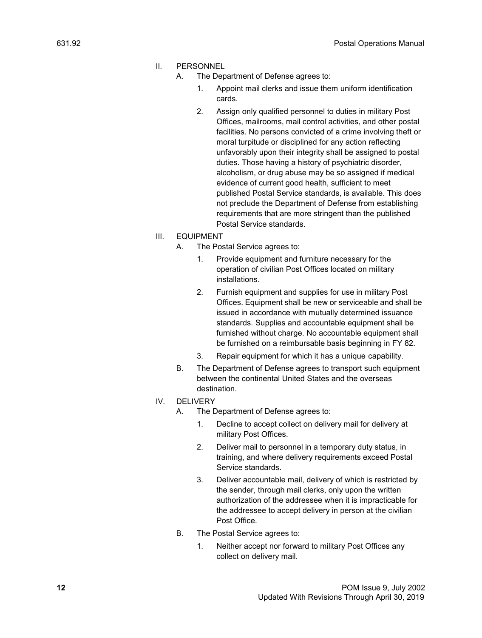#### II. PERSONNEL

- A. The Department of Defense agrees to:
	- 1. Appoint mail clerks and issue them uniform identification cards.
	- 2. Assign only qualified personnel to duties in military Post Offices, mailrooms, mail control activities, and other postal facilities. No persons convicted of a crime involving theft or moral turpitude or disciplined for any action reflecting unfavorably upon their integrity shall be assigned to postal duties. Those having a history of psychiatric disorder, alcoholism, or drug abuse may be so assigned if medical evidence of current good health, sufficient to meet published Postal Service standards, is available. This does not preclude the Department of Defense from establishing requirements that are more stringent than the published Postal Service standards.

#### III. EQUIPMENT

- A. The Postal Service agrees to:
	- 1. Provide equipment and furniture necessary for the operation of civilian Post Offices located on military installations.
	- 2. Furnish equipment and supplies for use in military Post Offices. Equipment shall be new or serviceable and shall be issued in accordance with mutually determined issuance standards. Supplies and accountable equipment shall be furnished without charge. No accountable equipment shall be furnished on a reimbursable basis beginning in FY 82.
	- 3. Repair equipment for which it has a unique capability.
- B. The Department of Defense agrees to transport such equipment between the continental United States and the overseas destination.

#### IV. DELIVERY

- A. The Department of Defense agrees to:
	- 1. Decline to accept collect on delivery mail for delivery at military Post Offices.
	- 2. Deliver mail to personnel in a temporary duty status, in training, and where delivery requirements exceed Postal Service standards.
	- 3. Deliver accountable mail, delivery of which is restricted by the sender, through mail clerks, only upon the written authorization of the addressee when it is impracticable for the addressee to accept delivery in person at the civilian Post Office.
- B. The Postal Service agrees to:
	- 1. Neither accept nor forward to military Post Offices any collect on delivery mail.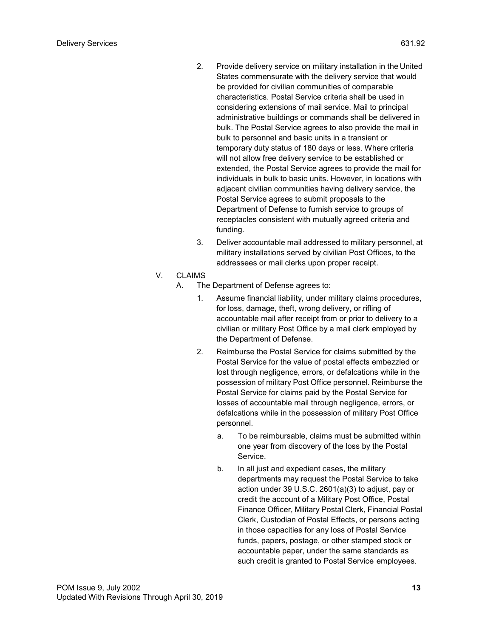- 2. Provide delivery service on military installation in the United States commensurate with the delivery service that would be provided for civilian communities of comparable characteristics. Postal Service criteria shall be used in considering extensions of mail service. Mail to principal administrative buildings or commands shall be delivered in bulk. The Postal Service agrees to also provide the mail in bulk to personnel and basic units in a transient or temporary duty status of 180 days or less. Where criteria will not allow free delivery service to be established or extended, the Postal Service agrees to provide the mail for individuals in bulk to basic units. However, in locations with adjacent civilian communities having delivery service, the Postal Service agrees to submit proposals to the Department of Defense to furnish service to groups of receptacles consistent with mutually agreed criteria and funding.
- 3. Deliver accountable mail addressed to military personnel, at military installations served by civilian Post Offices, to the addressees or mail clerks upon proper receipt.

#### V. CLAIMS

- A. The Department of Defense agrees to:
	- 1. Assume financial liability, under military claims procedures, for loss, damage, theft, wrong delivery, or rifling of accountable mail after receipt from or prior to delivery to a civilian or military Post Office by a mail clerk employed by the Department of Defense.
	- 2. Reimburse the Postal Service for claims submitted by the Postal Service for the value of postal effects embezzled or lost through negligence, errors, or defalcations while in the possession of military Post Office personnel. Reimburse the Postal Service for claims paid by the Postal Service for losses of accountable mail through negligence, errors, or defalcations while in the possession of military Post Office personnel.
		- a. To be reimbursable, claims must be submitted within one year from discovery of the loss by the Postal Service.
		- b. In all just and expedient cases, the military departments may request the Postal Service to take action under 39 U.S.C. 2601(a)(3) to adjust, pay or credit the account of a Military Post Office, Postal Finance Officer, Military Postal Clerk, Financial Postal Clerk, Custodian of Postal Effects, or persons acting in those capacities for any loss of Postal Service funds, papers, postage, or other stamped stock or accountable paper, under the same standards as such credit is granted to Postal Service employees.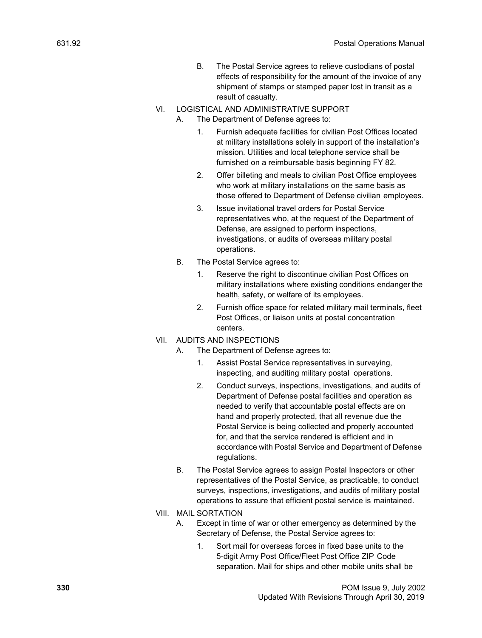- B. The Postal Service agrees to relieve custodians of postal effects of responsibility for the amount of the invoice of any shipment of stamps or stamped paper lost in transit as a result of casualty.
- VI. LOGISTICAL AND ADMINISTRATIVE SUPPORT
	- A. The Department of Defense agrees to:
		- 1. Furnish adequate facilities for civilian Post Offices located at military installations solely in support of the installation's mission. Utilities and local telephone service shall be furnished on a reimbursable basis beginning FY 82.
		- 2. Offer billeting and meals to civilian Post Office employees who work at military installations on the same basis as those offered to Department of Defense civilian employees.
		- 3. Issue invitational travel orders for Postal Service representatives who, at the request of the Department of Defense, are assigned to perform inspections, investigations, or audits of overseas military postal operations.
	- B. The Postal Service agrees to:
		- 1. Reserve the right to discontinue civilian Post Offices on military installations where existing conditions endanger the health, safety, or welfare of its employees.
		- 2. Furnish office space for related military mail terminals, fleet Post Offices, or liaison units at postal concentration centers.
- VII. AUDITS AND INSPECTIONS
	- A. The Department of Defense agrees to:
		- 1. Assist Postal Service representatives in surveying, inspecting, and auditing military postal operations.
		- 2. Conduct surveys, inspections, investigations, and audits of Department of Defense postal facilities and operation as needed to verify that accountable postal effects are on hand and properly protected, that all revenue due the Postal Service is being collected and properly accounted for, and that the service rendered is efficient and in accordance with Postal Service and Department of Defense regulations.
	- B. The Postal Service agrees to assign Postal Inspectors or other representatives of the Postal Service, as practicable, to conduct surveys, inspections, investigations, and audits of military postal operations to assure that efficient postal service is maintained.
- VIII. MAIL SORTATION
	- A. Except in time of war or other emergency as determined by the Secretary of Defense, the Postal Service agrees to:
		- 1. Sort mail for overseas forces in fixed base units to the 5-digit Army Post Office/Fleet Post Office ZIP Code separation. Mail for ships and other mobile units shall be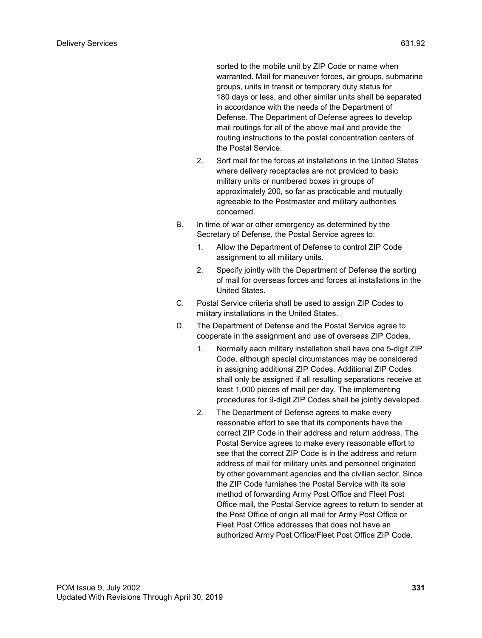sorted to the mobile unit by ZIP Code or name when warranted. Mail for maneuver forces, air groups, submarine groups, units in transit or temporary duty status for 180 days or less, and other similar units shall be separated in accordance with the needs of the Department of Defense. The Department of Defense agrees to develop mail routings for all of the above mail and provide the routing instructions to the postal concentration centers of the Postal Service.

- 2. Sort mail for the forces at installations in the United States where delivery receptacles are not provided to basic military units or numbered boxes in groups of approximately 200, so far as practicable and mutually agreeable to the Postmaster and military authorities concerned.
- B. In time of war or other emergency as determined by the Secretary of Defense, the Postal Service agrees to:
	- 1. Allow the Department of Defense to control ZIP Code assignment to all military units.
	- 2. Specify jointly with the Department of Defense the sorting of mail for overseas forces and forces at installations in the United States.
- C. Postal Service criteria shall be used to assign ZIP Codes to military installations in the United States.
- D. The Department of Defense and the Postal Service agree to cooperate in the assignment and use of overseas ZIP Codes.
	- 1. Normally each military installation shall have one 5-digit ZIP Code, although special circumstances may be considered in assigning additional ZIP Codes. Additional ZIP Codes shall only be assigned if all resulting separations receive at least 1,000 pieces of mail per day. The implementing procedures for 9-digit ZIP Codes shall be jointly developed.
	- 2. The Department of Defense agrees to make every reasonable effort to see that its components have the correct ZIP Code in their address and return address. The Postal Service agrees to make every reasonable effort to see that the correct ZIP Code is in the address and return address of mail for military units and personnel originated by other government agencies and the civilian sector. Since the ZIP Code furnishes the Postal Service with its sole method of forwarding Army Post Office and Fleet Post Office mail, the Postal Service agrees to return to sender at the Post Office of origin all mail for Army Post Office or Fleet Post Office addresses that does not have an authorized Army Post Office/Fleet Post Office ZIP Code.